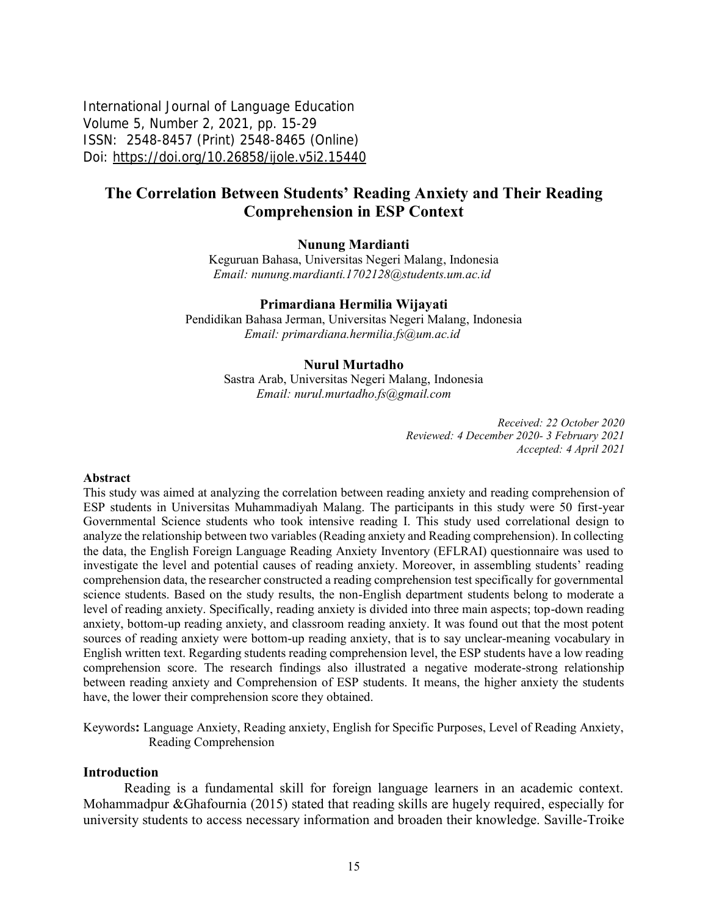International Journal of Language Education Volume 5, Number 2, 2021, pp. 15-29 ISSN: 2548-8457 (Print) 2548-8465 (Online) Doi: <https://doi.org/10.26858/ijole.v5i2.15440>

# **The Correlation Between Students' Reading Anxiety and Their Reading Comprehension in ESP Context**

### **Nunung Mardianti**

Keguruan Bahasa, Universitas Negeri Malang, Indonesia *Email: [nunung.mardianti.1702128@students.um.ac.id](mailto:nunung.mardianti.1702128@students.um.ac.id)*

### **Primardiana Hermilia Wijayati**

Pendidikan Bahasa Jerman, Universitas Negeri Malang, Indonesia *Email: [primardiana.hermilia.fs@um.ac.id](mailto:primardiana.hermilia.fs@um.ac.id)*

#### **Nurul Murtadho**

Sastra Arab, Universitas Negeri Malang, Indonesia *Email: [nurul.murtadho.fs@gmail.com](mailto:nurul.murtadho.fs@gmail.com)*

> *Received: 22 October 2020 Reviewed: 4 December 2020- 3 February 2021 Accepted: 4 April 2021*

#### **Abstract**

This study was aimed at analyzing the correlation between reading anxiety and reading comprehension of ESP students in Universitas Muhammadiyah Malang. The participants in this study were 50 first-year Governmental Science students who took intensive reading I. This study used correlational design to analyze the relationship between two variables (Reading anxiety and Reading comprehension). In collecting the data, the English Foreign Language Reading Anxiety Inventory (EFLRAI) questionnaire was used to investigate the level and potential causes of reading anxiety. Moreover, in assembling students' reading comprehension data, the researcher constructed a reading comprehension test specifically for governmental science students. Based on the study results, the non-English department students belong to moderate a level of reading anxiety. Specifically, reading anxiety is divided into three main aspects; top-down reading anxiety, bottom-up reading anxiety, and classroom reading anxiety. It was found out that the most potent sources of reading anxiety were bottom-up reading anxiety, that is to say unclear-meaning vocabulary in English written text. Regarding students reading comprehension level, the ESP students have a low reading comprehension score. The research findings also illustrated a negative moderate-strong relationship between reading anxiety and Comprehension of ESP students. It means, the higher anxiety the students have, the lower their comprehension score they obtained.

Keywords**:** Language Anxiety, Reading anxiety, English for Specific Purposes, Level of Reading Anxiety, Reading Comprehension

#### **Introduction**

Reading is a fundamental skill for foreign language learners in an academic context. Mohammadpur &Ghafournia (2015) stated that reading skills are hugely required, especially for university students to access necessary information and broaden their knowledge. Saville-Troike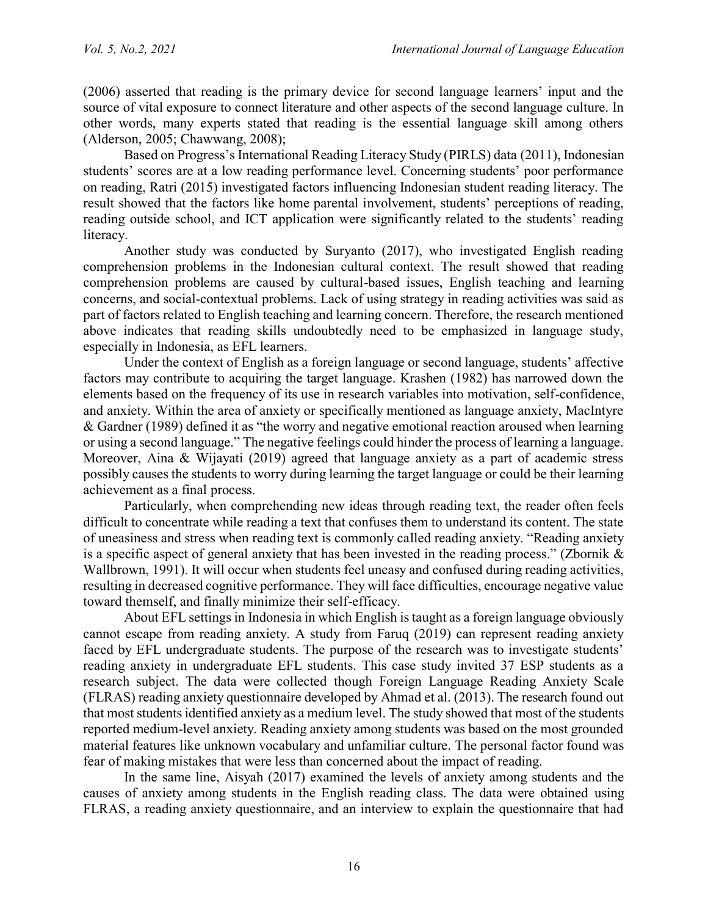(2006) asserted that reading is the primary device for second language learners' input and the source of vital exposure to connect literature and other aspects of the second language culture. In other words, many experts stated that reading is the essential language skill among others (Alderson, 2005; Chawwang, 2008);

Based on Progress's International Reading Literacy Study (PIRLS) data (2011), Indonesian students' scores are at a low reading performance level. Concerning students' poor performance on reading, Ratri (2015) investigated factors influencing Indonesian student reading literacy. The result showed that the factors like home parental involvement, students' perceptions of reading, reading outside school, and ICT application were significantly related to the students' reading literacy.

Another study was conducted by Suryanto (2017), who investigated English reading comprehension problems in the Indonesian cultural context. The result showed that reading comprehension problems are caused by cultural-based issues, English teaching and learning concerns, and social-contextual problems. Lack of using strategy in reading activities was said as part of factors related to English teaching and learning concern. Therefore, the research mentioned above indicates that reading skills undoubtedly need to be emphasized in language study, especially in Indonesia, as EFL learners.

Under the context of English as a foreign language or second language, students' affective factors may contribute to acquiring the target language. Krashen (1982) has narrowed down the elements based on the frequency of its use in research variables into motivation, self-confidence, and anxiety. Within the area of anxiety or specifically mentioned as language anxiety, MacIntyre & Gardner (1989) defined it as "the worry and negative emotional reaction aroused when learning or using a second language." The negative feelings could hinder the process of learning a language. Moreover, Aina & Wijayati (2019) agreed that language anxiety as a part of academic stress possibly causes the students to worry during learning the target language or could be their learning achievement as a final process.

Particularly, when comprehending new ideas through reading text, the reader often feels difficult to concentrate while reading a text that confuses them to understand its content. The state of uneasiness and stress when reading text is commonly called reading anxiety. "Reading anxiety is a specific aspect of general anxiety that has been invested in the reading process." (Zbornik & Wallbrown, 1991). It will occur when students feel uneasy and confused during reading activities, resulting in decreased cognitive performance. They will face difficulties, encourage negative value toward themself, and finally minimize their self-efficacy.

About EFL settings in Indonesia in which English is taught as a foreign language obviously cannot escape from reading anxiety. A study from Faruq (2019) can represent reading anxiety faced by EFL undergraduate students. The purpose of the research was to investigate students' reading anxiety in undergraduate EFL students. This case study invited 37 ESP students as a research subject. The data were collected though Foreign Language Reading Anxiety Scale (FLRAS) reading anxiety questionnaire developed by Ahmad et al. (2013). The research found out that most students identified anxiety as a medium level. The study showed that most of the students reported medium-level anxiety. Reading anxiety among students was based on the most grounded material features like unknown vocabulary and unfamiliar culture. The personal factor found was fear of making mistakes that were less than concerned about the impact of reading.

In the same line, Aisyah (2017) examined the levels of anxiety among students and the causes of anxiety among students in the English reading class. The data were obtained using FLRAS, a reading anxiety questionnaire, and an interview to explain the questionnaire that had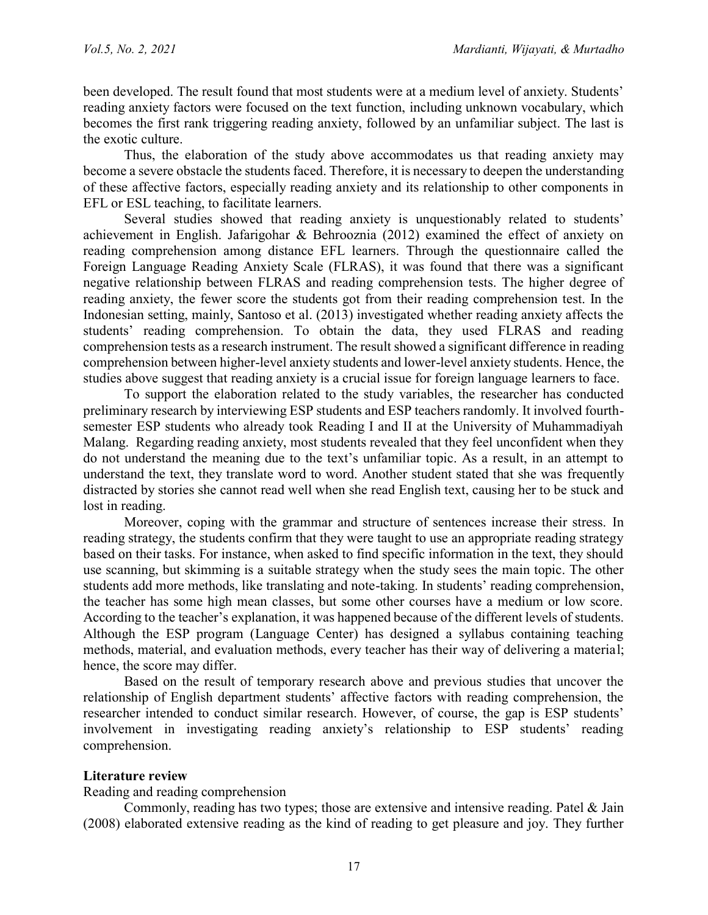been developed. The result found that most students were at a medium level of anxiety. Students' reading anxiety factors were focused on the text function, including unknown vocabulary, which becomes the first rank triggering reading anxiety, followed by an unfamiliar subject. The last is the exotic culture.

Thus, the elaboration of the study above accommodates us that reading anxiety may become a severe obstacle the students faced. Therefore, it is necessary to deepen the understanding of these affective factors, especially reading anxiety and its relationship to other components in EFL or ESL teaching, to facilitate learners.

Several studies showed that reading anxiety is unquestionably related to students' achievement in English. Jafarigohar & Behrooznia (2012) examined the effect of anxiety on reading comprehension among distance EFL learners. Through the questionnaire called the Foreign Language Reading Anxiety Scale (FLRAS), it was found that there was a significant negative relationship between FLRAS and reading comprehension tests. The higher degree of reading anxiety, the fewer score the students got from their reading comprehension test. In the Indonesian setting, mainly, Santoso et al. (2013) investigated whether reading anxiety affects the students' reading comprehension. To obtain the data, they used FLRAS and reading comprehension tests as a research instrument. The result showed a significant difference in reading comprehension between higher-level anxiety students and lower-level anxiety students. Hence, the studies above suggest that reading anxiety is a crucial issue for foreign language learners to face.

To support the elaboration related to the study variables, the researcher has conducted preliminary research by interviewing ESP students and ESP teachers randomly. It involved fourthsemester ESP students who already took Reading I and II at the University of Muhammadiyah Malang. Regarding reading anxiety, most students revealed that they feel unconfident when they do not understand the meaning due to the text's unfamiliar topic. As a result, in an attempt to understand the text, they translate word to word. Another student stated that she was frequently distracted by stories she cannot read well when she read English text, causing her to be stuck and lost in reading.

Moreover, coping with the grammar and structure of sentences increase their stress. In reading strategy, the students confirm that they were taught to use an appropriate reading strategy based on their tasks. For instance, when asked to find specific information in the text, they should use scanning, but skimming is a suitable strategy when the study sees the main topic. The other students add more methods, like translating and note-taking. In students' reading comprehension, the teacher has some high mean classes, but some other courses have a medium or low score. According to the teacher's explanation, it was happened because of the different levels of students. Although the ESP program (Language Center) has designed a syllabus containing teaching methods, material, and evaluation methods, every teacher has their way of delivering a material; hence, the score may differ.

Based on the result of temporary research above and previous studies that uncover the relationship of English department students' affective factors with reading comprehension, the researcher intended to conduct similar research. However, of course, the gap is ESP students' involvement in investigating reading anxiety's relationship to ESP students' reading comprehension.

## **Literature review**

Reading and reading comprehension

Commonly, reading has two types; those are extensive and intensive reading. Patel & Jain (2008) elaborated extensive reading as the kind of reading to get pleasure and joy. They further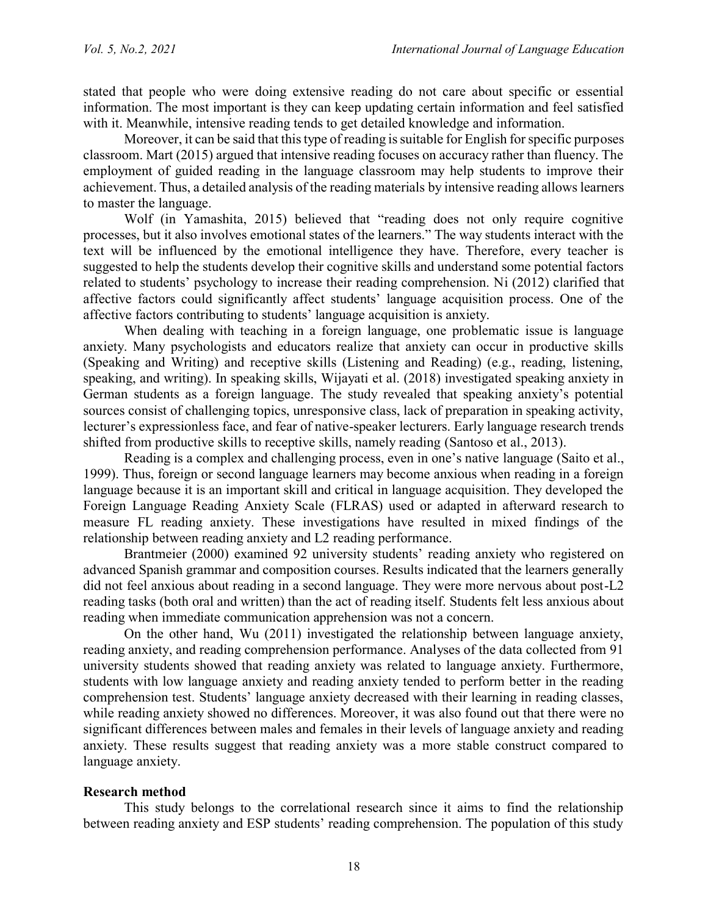stated that people who were doing extensive reading do not care about specific or essential information. The most important is they can keep updating certain information and feel satisfied with it. Meanwhile, intensive reading tends to get detailed knowledge and information.

Moreover, it can be said that this type of reading is suitable for English for specific purposes classroom. Mart (2015) argued that intensive reading focuses on accuracy rather than fluency. The employment of guided reading in the language classroom may help students to improve their achievement. Thus, a detailed analysis of the reading materials by intensive reading allows learners to master the language.

Wolf (in Yamashita, 2015) believed that "reading does not only require cognitive processes, but it also involves emotional states of the learners." The way students interact with the text will be influenced by the emotional intelligence they have. Therefore, every teacher is suggested to help the students develop their cognitive skills and understand some potential factors related to students' psychology to increase their reading comprehension. Ni (2012) clarified that affective factors could significantly affect students' language acquisition process. One of the affective factors contributing to students' language acquisition is anxiety.

When dealing with teaching in a foreign language, one problematic issue is language anxiety. Many psychologists and educators realize that anxiety can occur in productive skills (Speaking and Writing) and receptive skills (Listening and Reading) (e.g., reading, listening, speaking, and writing). In speaking skills, Wijayati et al. (2018) investigated speaking anxiety in German students as a foreign language. The study revealed that speaking anxiety's potential sources consist of challenging topics, unresponsive class, lack of preparation in speaking activity, lecturer's expressionless face, and fear of native-speaker lecturers. Early language research trends shifted from productive skills to receptive skills, namely reading (Santoso et al., 2013).

Reading is a complex and challenging process, even in one's native language (Saito et al., 1999). Thus, foreign or second language learners may become anxious when reading in a foreign language because it is an important skill and critical in language acquisition. They developed the Foreign Language Reading Anxiety Scale (FLRAS) used or adapted in afterward research to measure FL reading anxiety. These investigations have resulted in mixed findings of the relationship between reading anxiety and L2 reading performance.

Brantmeier (2000) examined 92 university students' reading anxiety who registered on advanced Spanish grammar and composition courses. Results indicated that the learners generally did not feel anxious about reading in a second language. They were more nervous about post-L2 reading tasks (both oral and written) than the act of reading itself. Students felt less anxious about reading when immediate communication apprehension was not a concern.

On the other hand, Wu (2011) investigated the relationship between language anxiety, reading anxiety, and reading comprehension performance. Analyses of the data collected from 91 university students showed that reading anxiety was related to language anxiety. Furthermore, students with low language anxiety and reading anxiety tended to perform better in the reading comprehension test. Students' language anxiety decreased with their learning in reading classes, while reading anxiety showed no differences. Moreover, it was also found out that there were no significant differences between males and females in their levels of language anxiety and reading anxiety. These results suggest that reading anxiety was a more stable construct compared to language anxiety.

## **Research method**

This study belongs to the correlational research since it aims to find the relationship between reading anxiety and ESP students' reading comprehension. The population of this study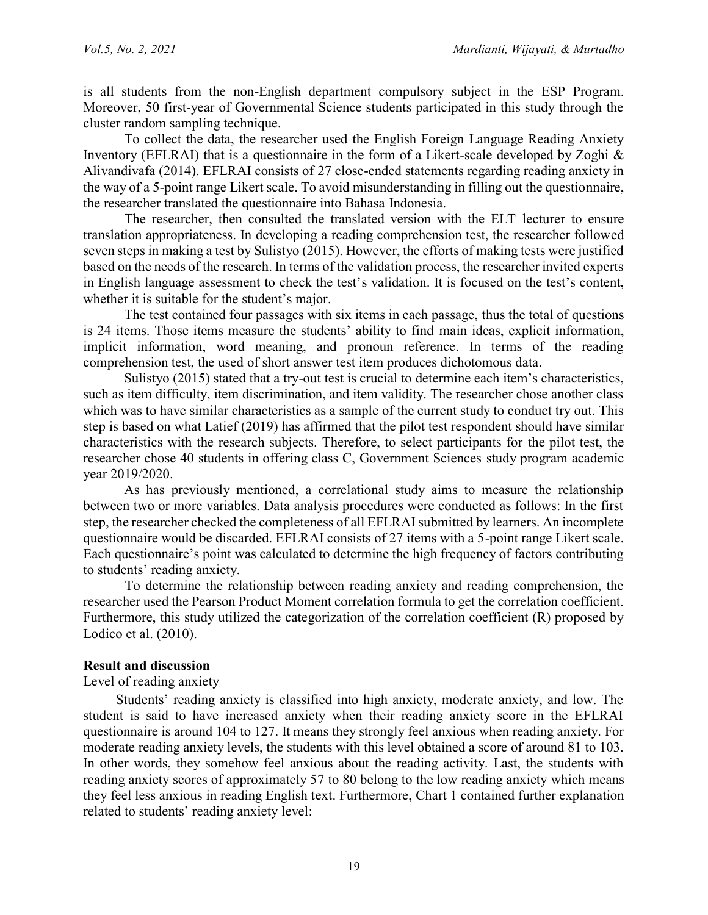is all students from the non-English department compulsory subject in the ESP Program. Moreover, 50 first-year of Governmental Science students participated in this study through the cluster random sampling technique.

To collect the data, the researcher used the English Foreign Language Reading Anxiety Inventory (EFLRAI) that is a questionnaire in the form of a Likert-scale developed by Zoghi & Alivandivafa (2014). EFLRAI consists of 27 close-ended statements regarding reading anxiety in the way of a 5-point range Likert scale. To avoid misunderstanding in filling out the questionnaire, the researcher translated the questionnaire into Bahasa Indonesia.

The researcher, then consulted the translated version with the ELT lecturer to ensure translation appropriateness. In developing a reading comprehension test, the researcher followed seven steps in making a test by Sulistyo (2015). However, the efforts of making tests were justified based on the needs of the research. In terms of the validation process, the researcher invited experts in English language assessment to check the test's validation. It is focused on the test's content, whether it is suitable for the student's major.

The test contained four passages with six items in each passage, thus the total of questions is 24 items. Those items measure the students' ability to find main ideas, explicit information, implicit information, word meaning, and pronoun reference. In terms of the reading comprehension test, the used of short answer test item produces dichotomous data.

Sulistyo (2015) stated that a try-out test is crucial to determine each item's characteristics, such as item difficulty, item discrimination, and item validity. The researcher chose another class which was to have similar characteristics as a sample of the current study to conduct try out. This step is based on what Latief (2019) has affirmed that the pilot test respondent should have similar characteristics with the research subjects. Therefore, to select participants for the pilot test, the researcher chose 40 students in offering class C, Government Sciences study program academic year 2019/2020.

As has previously mentioned, a correlational study aims to measure the relationship between two or more variables. Data analysis procedures were conducted as follows: In the first step, the researcher checked the completeness of all EFLRAI submitted by learners. An incomplete questionnaire would be discarded. EFLRAI consists of 27 items with a 5-point range Likert scale. Each questionnaire's point was calculated to determine the high frequency of factors contributing to students' reading anxiety.

To determine the relationship between reading anxiety and reading comprehension, the researcher used the Pearson Product Moment correlation formula to get the correlation coefficient. Furthermore, this study utilized the categorization of the correlation coefficient (R) proposed by Lodico et al. (2010).

## **Result and discussion**

## Level of reading anxiety

Students' reading anxiety is classified into high anxiety, moderate anxiety, and low. The student is said to have increased anxiety when their reading anxiety score in the EFLRAI questionnaire is around 104 to 127. It means they strongly feel anxious when reading anxiety. For moderate reading anxiety levels, the students with this level obtained a score of around 81 to 103. In other words, they somehow feel anxious about the reading activity. Last, the students with reading anxiety scores of approximately 57 to 80 belong to the low reading anxiety which means they feel less anxious in reading English text. Furthermore, Chart 1 contained further explanation related to students' reading anxiety level: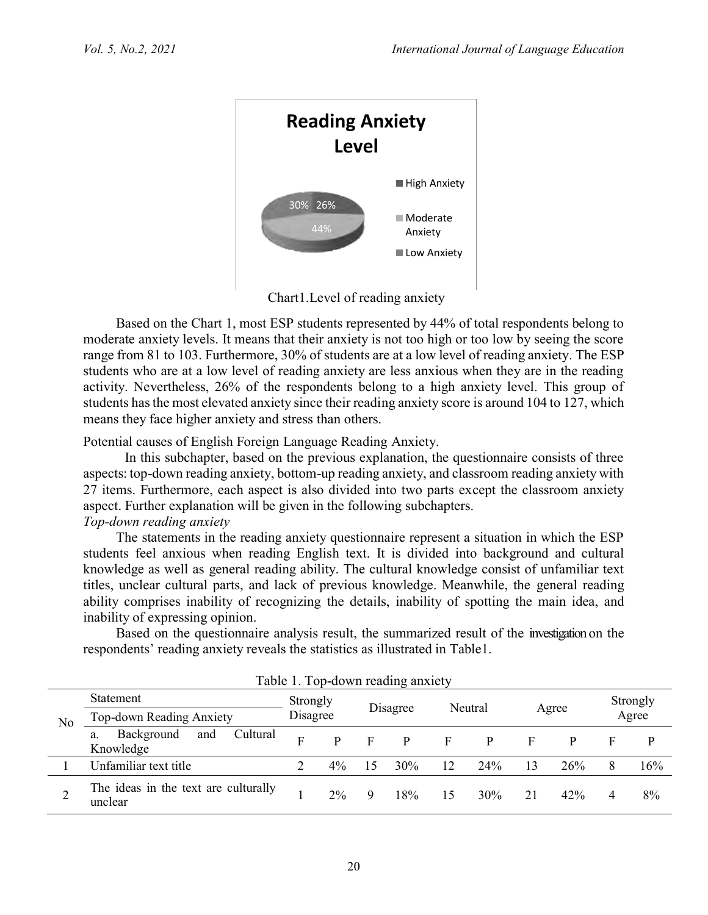

Chart1.Level of reading anxiety

Based on the Chart 1, most ESP students represented by 44% of total respondents belong to moderate anxiety levels. It means that their anxiety is not too high or too low by seeing the score range from 81 to 103. Furthermore, 30% of students are at a low level of reading anxiety. The ESP students who are at a low level of reading anxiety are less anxious when they are in the reading activity. Nevertheless, 26% of the respondents belong to a high anxiety level. This group of students has the most elevated anxiety since their reading anxiety score is around 104 to 127, which means they face higher anxiety and stress than others.

Potential causes of English Foreign Language Reading Anxiety.

In this subchapter, based on the previous explanation, the questionnaire consists of three aspects: top-down reading anxiety, bottom-up reading anxiety, and classroom reading anxiety with 27 items. Furthermore, each aspect is also divided into two parts except the classroom anxiety aspect. Further explanation will be given in the following subchapters.

# *Top-down reading anxiety*

The statements in the reading anxiety questionnaire represent a situation in which the ESP students feel anxious when reading English text. It is divided into background and cultural knowledge as well as general reading ability. The cultural knowledge consist of unfamiliar text titles, unclear cultural parts, and lack of previous knowledge. Meanwhile, the general reading ability comprises inability of recognizing the details, inability of spotting the main idea, and inability of expressing opinion.

Based on the questionnaire analysis result, the summarized result of the investigation on the respondents' reading anxiety reveals the statistics as illustrated in Table1.

|    |                                                  |                      |       |          | Table 1. Top-down reading anxiety |         |     |       |     |                   |     |
|----|--------------------------------------------------|----------------------|-------|----------|-----------------------------------|---------|-----|-------|-----|-------------------|-----|
| No | <b>Statement</b>                                 | Strongly<br>Disagree |       | Disagree |                                   | Neutral |     | Agree |     | Strongly<br>Agree |     |
|    | Top-down Reading Anxiety                         |                      |       |          |                                   |         |     |       |     |                   |     |
|    | Cultural<br>Background<br>and<br>a.<br>Knowledge | F                    | D     | Е        | p                                 | F       |     | F     |     |                   |     |
|    | Unfamiliar text title                            |                      | $4\%$ | 15       | 30%                               | 12      | 24% | 13    | 26% | 8                 | 16% |
| ∠  | The ideas in the text are culturally<br>unclear  |                      | $2\%$ | 9        | 18%                               | 15      | 30% | 21    | 42% | 4                 | 8%  |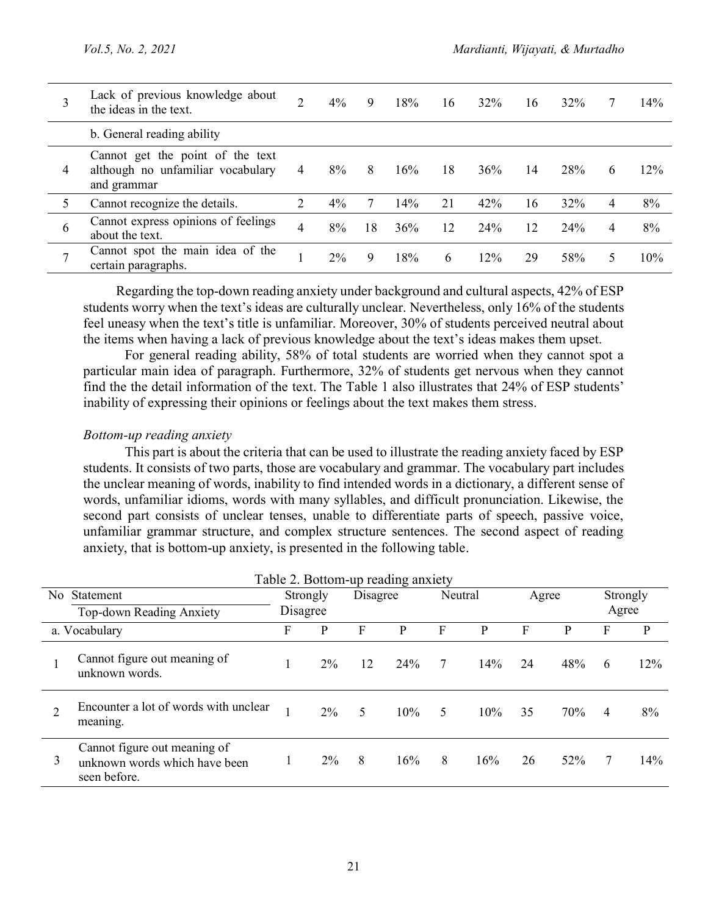| 3            | Lack of previous knowledge about<br>the ideas in the text.                           | $\mathcal{D}$ | $4\%$ | 9  | 18% | 16 | 32% | 16 | 32% |   | 14%    |
|--------------|--------------------------------------------------------------------------------------|---------------|-------|----|-----|----|-----|----|-----|---|--------|
|              | b. General reading ability                                                           |               |       |    |     |    |     |    |     |   |        |
| 4            | Cannot get the point of the text<br>although no unfamiliar vocabulary<br>and grammar | 4             | $8\%$ | 8  | 16% | 18 | 36% | 14 | 28% | 6 | $12\%$ |
|              | Cannot recognize the details.                                                        | 2             | 4%    |    | 14% | 21 | 42% | 16 | 32% | 4 | 8%     |
| 6            | Cannot express opinions of feelings<br>about the text.                               | 4             | 8%    | 18 | 36% | 12 | 24% | 12 | 24% | 4 | 8%     |
| $\mathbf{r}$ | Cannot spot the main idea of the<br>certain paragraphs.                              |               | $2\%$ | 9  | 18% | 6  | 12% | 29 | 58% | 5 | 10%    |

Regarding the top-down reading anxiety under background and cultural aspects, 42% of ESP students worry when the text's ideas are culturally unclear. Nevertheless, only 16% of the students feel uneasy when the text's title is unfamiliar. Moreover, 30% of students perceived neutral about the items when having a lack of previous knowledge about the text's ideas makes them upset.

For general reading ability, 58% of total students are worried when they cannot spot a particular main idea of paragraph. Furthermore, 32% of students get nervous when they cannot find the the detail information of the text. The Table 1 also illustrates that 24% of ESP students' inability of expressing their opinions or feelings about the text makes them stress.

## *Bottom-up reading anxiety*

This part is about the criteria that can be used to illustrate the reading anxiety faced by ESP students. It consists of two parts, those are vocabulary and grammar. The vocabulary part includes the unclear meaning of words, inability to find intended words in a dictionary, a different sense of words, unfamiliar idioms, words with many syllables, and difficult pronunciation. Likewise, the second part consists of unclear tenses, unable to differentiate parts of speech, passive voice, unfamiliar grammar structure, and complex structure sentences. The second aspect of reading anxiety, that is bottom-up anxiety, is presented in the following table.

|   |                                                                               |          |          |          | Table 2. Bottom-up reading anxiety |                 |         |       |     |       |          |
|---|-------------------------------------------------------------------------------|----------|----------|----------|------------------------------------|-----------------|---------|-------|-----|-------|----------|
|   | No Statement                                                                  |          | Strongly | Disagree |                                    |                 | Neutral | Agree |     |       | Strongly |
|   | <b>Top-down Reading Anxiety</b>                                               | Disagree |          |          |                                    |                 |         |       |     | Agree |          |
|   | a. Vocabulary                                                                 | F        | P        | F        | P                                  | F               | P       | F     | P   | F     | P        |
|   | Cannot figure out meaning of<br>unknown words.                                |          | $2\%$    | 12       | 24%                                | $7\phantom{.0}$ | 14%     | 24    | 48% | 6     | 12%      |
|   | Encounter a lot of words with unclear<br>meaning.                             |          | $2\%$    | 5        | 10%                                | 5.              | 10%     | 35    | 70% | 4     | 8%       |
| 3 | Cannot figure out meaning of<br>unknown words which have been<br>seen before. |          | 2%       | 8        | 16%                                | 8               | 16%     | 26    | 52% | 7     | 14%      |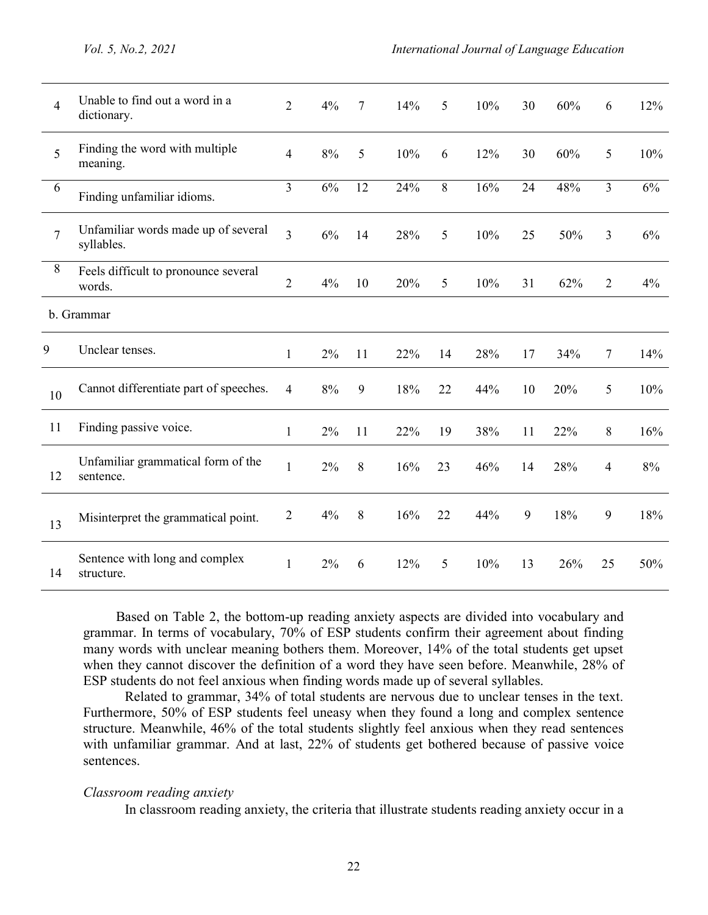| $\overline{4}$ | Unable to find out a word in a<br>dictionary.     | $\overline{2}$ | 4%    | 7  | 14% | 5  | 10% | 30 | 60% | 6              | 12%   |
|----------------|---------------------------------------------------|----------------|-------|----|-----|----|-----|----|-----|----------------|-------|
| 5              | Finding the word with multiple<br>meaning.        | $\overline{4}$ | $8\%$ | 5  | 10% | 6  | 12% | 30 | 60% | 5              | 10%   |
| 6              | Finding unfamiliar idioms.                        | 3              | 6%    | 12 | 24% | 8  | 16% | 24 | 48% | $\overline{3}$ | 6%    |
| $\overline{7}$ | Unfamiliar words made up of several<br>syllables. | $\overline{3}$ | 6%    | 14 | 28% | 5  | 10% | 25 | 50% | 3              | 6%    |
| $8\,$          | Feels difficult to pronounce several<br>words.    | $\overline{2}$ | 4%    | 10 | 20% | 5  | 10% | 31 | 62% | $\overline{2}$ | 4%    |
|                | b. Grammar                                        |                |       |    |     |    |     |    |     |                |       |
| 9              | Unclear tenses.                                   | $\mathbf{1}$   | $2\%$ | 11 | 22% | 14 | 28% | 17 | 34% | $\tau$         | 14%   |
| 10             | Cannot differentiate part of speeches.            | $\overline{4}$ | 8%    | 9  | 18% | 22 | 44% | 10 | 20% | 5              | 10%   |
| 11             | Finding passive voice.                            | $\mathbf{1}$   | $2\%$ | 11 | 22% | 19 | 38% | 11 | 22% | 8              | 16%   |
| 12             | Unfamiliar grammatical form of the<br>sentence.   | $\mathbf{1}$   | 2%    | 8  | 16% | 23 | 46% | 14 | 28% | $\overline{4}$ | $8\%$ |
| 13             | Misinterpret the grammatical point.               | $\overline{2}$ | 4%    | 8  | 16% | 22 | 44% | 9  | 18% | 9              | 18%   |
| 14             | Sentence with long and complex<br>structure.      | $\mathbf{1}$   | 2%    | 6  | 12% | 5  | 10% | 13 | 26% | 25             | 50%   |

Based on Table 2, the bottom-up reading anxiety aspects are divided into vocabulary and grammar. In terms of vocabulary, 70% of ESP students confirm their agreement about finding many words with unclear meaning bothers them. Moreover, 14% of the total students get upset when they cannot discover the definition of a word they have seen before. Meanwhile, 28% of ESP students do not feel anxious when finding words made up of several syllables.

Related to grammar, 34% of total students are nervous due to unclear tenses in the text. Furthermore, 50% of ESP students feel uneasy when they found a long and complex sentence structure. Meanwhile, 46% of the total students slightly feel anxious when they read sentences with unfamiliar grammar. And at last, 22% of students get bothered because of passive voice sentences.

#### *Classroom reading anxiety*

In classroom reading anxiety, the criteria that illustrate students reading anxiety occur in a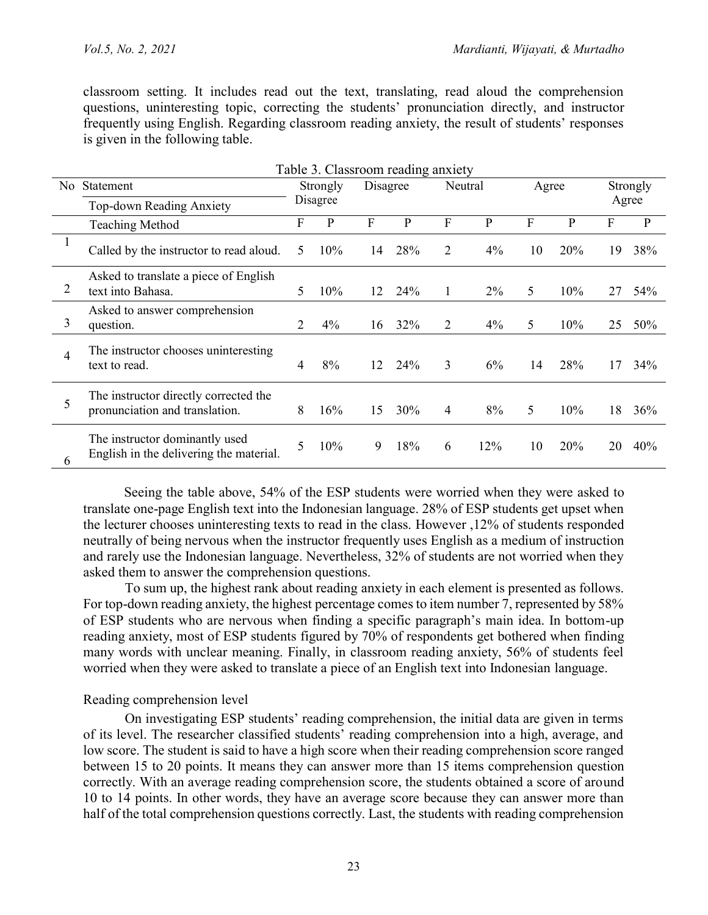classroom setting. It includes read out the text, translating, read aloud the comprehension questions, uninteresting topic, correcting the students' pronunciation directly, and instructor frequently using English. Regarding classroom reading anxiety, the result of students' responses is given in the following table.

|                |                                                                           |   | Table 3. Classroom reading anxiety |          |     |                |              |       |     |       |              |
|----------------|---------------------------------------------------------------------------|---|------------------------------------|----------|-----|----------------|--------------|-------|-----|-------|--------------|
| N <sub>0</sub> | Statement                                                                 |   | Strongly                           | Disagree |     | Neutral        |              | Agree |     |       | Strongly     |
|                | Top-down Reading Anxiety                                                  |   | Disagree                           |          |     |                |              |       |     | Agree |              |
|                | <b>Teaching Method</b>                                                    | F | P                                  | F        | P   | F              | $\mathbf{P}$ | F     | P   | F     | $\mathbf{P}$ |
| $\mathbf{1}$   | Called by the instructor to read aloud.                                   | 5 | 10%                                | 14       | 28% | $\overline{2}$ | 4%           | 10    | 20% | 19    | 38%          |
| 2              | Asked to translate a piece of English<br>text into Bahasa.                | 5 | 10%                                | 12       | 24% | 1              | $2\%$        | 5     | 10% | 27    | 54%          |
| 3              | Asked to answer comprehension<br>question.                                | 2 | 4%                                 | 16       | 32% | 2              | 4%           | 5     | 10% | 25    | 50%          |
| $\overline{4}$ | The instructor chooses uninteresting<br>text to read.                     | 4 | 8%                                 | 12       | 24% | 3              | 6%           | 14    | 28% | 17    | 34%          |
| 5              | The instructor directly corrected the<br>pronunciation and translation.   | 8 | 16%                                | 15       | 30% | $\overline{4}$ | 8%           | 5     | 10% | 18    | 36%          |
| 6              | The instructor dominantly used<br>English in the delivering the material. | 5 | 10%                                | 9        | 18% | 6              | 12%          | 10    | 20% | 20    | 40%          |

Seeing the table above, 54% of the ESP students were worried when they were asked to translate one-page English text into the Indonesian language. 28% of ESP students get upset when the lecturer chooses uninteresting texts to read in the class. However ,12% of students responded neutrally of being nervous when the instructor frequently uses English as a medium of instruction and rarely use the Indonesian language. Nevertheless, 32% of students are not worried when they asked them to answer the comprehension questions.

To sum up, the highest rank about reading anxiety in each element is presented as follows. For top-down reading anxiety, the highest percentage comes to item number 7, represented by 58% of ESP students who are nervous when finding a specific paragraph's main idea. In bottom-up reading anxiety, most of ESP students figured by 70% of respondents get bothered when finding many words with unclear meaning. Finally, in classroom reading anxiety, 56% of students feel worried when they were asked to translate a piece of an English text into Indonesian language.

## Reading comprehension level

On investigating ESP students' reading comprehension, the initial data are given in terms of its level. The researcher classified students' reading comprehension into a high, average, and low score. The student is said to have a high score when their reading comprehension score ranged between 15 to 20 points. It means they can answer more than 15 items comprehension question correctly. With an average reading comprehension score, the students obtained a score of around 10 to 14 points. In other words, they have an average score because they can answer more than half of the total comprehension questions correctly. Last, the students with reading comprehension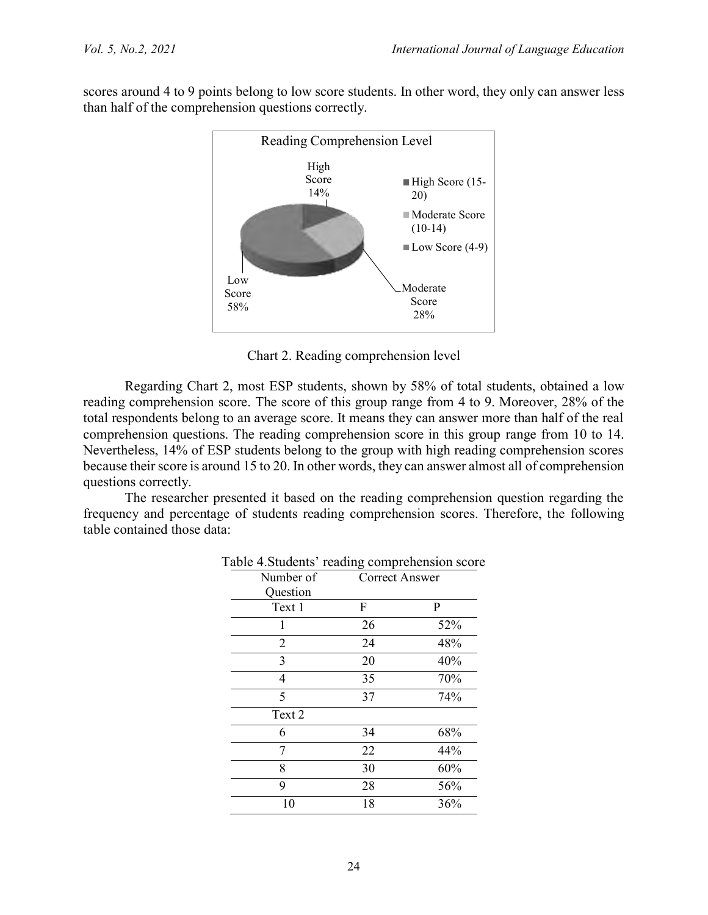scores around 4 to 9 points belong to low score students. In other word, they only can answer less than half of the comprehension questions correctly.



Chart 2. Reading comprehension level

Regarding Chart 2, most ESP students, shown by 58% of total students, obtained a low reading comprehension score. The score of this group range from 4 to 9. Moreover, 28% of the total respondents belong to an average score. It means they can answer more than half of the real comprehension questions. The reading comprehension score in this group range from 10 to 14. Nevertheless, 14% of ESP students belong to the group with high reading comprehension scores because their score is around 15 to 20. In other words, they can answer almost all of comprehension questions correctly.

The researcher presented it based on the reading comprehension question regarding the frequency and percentage of students reading comprehension scores. Therefore, the following table contained those data:

| Number of      | Correct Answer |     |  |  |
|----------------|----------------|-----|--|--|
| Question       |                |     |  |  |
| Text 1         | F              | P   |  |  |
| 1              | 26             | 52% |  |  |
| $\overline{2}$ | 24             | 48% |  |  |
| 3              | 20             | 40% |  |  |
| 4              | 35             | 70% |  |  |
| 5              | 37             | 74% |  |  |
| Text 2         |                |     |  |  |
| 6              | 34             | 68% |  |  |
| 7              | 22             | 44% |  |  |
| 8              | 30             | 60% |  |  |
| 9              | 28             | 56% |  |  |
| 10             | 18             | 36% |  |  |

# Table 4.Students' reading comprehension score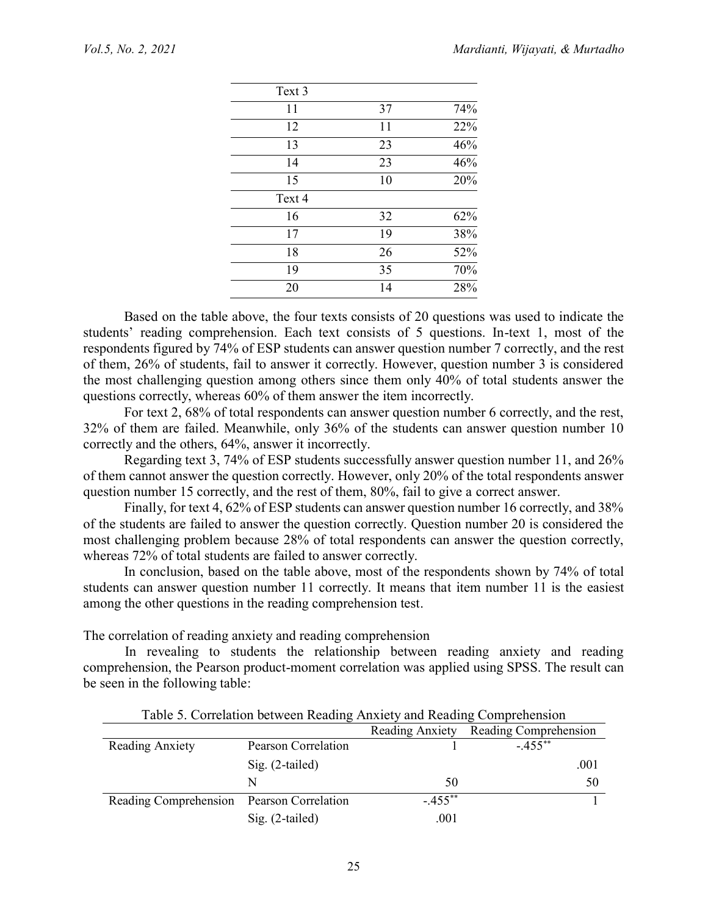| Text 3 |    |     |
|--------|----|-----|
| 11     | 37 | 74% |
| 12     | 11 | 22% |
| 13     | 23 | 46% |
| 14     | 23 | 46% |
| 15     | 10 | 20% |
| Text 4 |    |     |
| 16     | 32 | 62% |
| 17     | 19 | 38% |
| 18     | 26 | 52% |
| 19     | 35 | 70% |
| 20     | 14 | 28% |
|        |    |     |

Based on the table above, the four texts consists of 20 questions was used to indicate the students' reading comprehension. Each text consists of 5 questions. In-text 1, most of the respondents figured by 74% of ESP students can answer question number 7 correctly, and the rest of them, 26% of students, fail to answer it correctly. However, question number 3 is considered the most challenging question among others since them only 40% of total students answer the questions correctly, whereas 60% of them answer the item incorrectly.

For text 2, 68% of total respondents can answer question number 6 correctly, and the rest, 32% of them are failed. Meanwhile, only 36% of the students can answer question number 10 correctly and the others, 64%, answer it incorrectly.

Regarding text 3, 74% of ESP students successfully answer question number 11, and 26% of them cannot answer the question correctly. However, only 20% of the total respondents answer question number 15 correctly, and the rest of them, 80%, fail to give a correct answer.

Finally, for text 4, 62% of ESP students can answer question number 16 correctly, and 38% of the students are failed to answer the question correctly. Question number 20 is considered the most challenging problem because 28% of total respondents can answer the question correctly, whereas 72% of total students are failed to answer correctly.

In conclusion, based on the table above, most of the respondents shown by 74% of total students can answer question number 11 correctly. It means that item number 11 is the easiest among the other questions in the reading comprehension test.

The correlation of reading anxiety and reading comprehension

In revealing to students the relationship between reading anxiety and reading comprehension, the Pearson product-moment correlation was applied using SPSS. The result can be seen in the following table:

| Table 5. Correlation between Reading Anxiety and Reading Comprehension |                     |                 |                       |  |  |  |  |  |
|------------------------------------------------------------------------|---------------------|-----------------|-----------------------|--|--|--|--|--|
|                                                                        |                     | Reading Anxiety | Reading Comprehension |  |  |  |  |  |
| Reading Anxiety                                                        | Pearson Correlation |                 | $-455$ <sup>**</sup>  |  |  |  |  |  |
|                                                                        | $Sig. (2-tailed)$   |                 | .001                  |  |  |  |  |  |
|                                                                        | N                   | 50              | 50                    |  |  |  |  |  |
| Reading Comprehension Pearson Correlation                              |                     | $-.455$ **      |                       |  |  |  |  |  |
|                                                                        | $Sig. (2-tailed)$   | .001            |                       |  |  |  |  |  |

Table 5. Correlation between Reading Anxiety and Reading Comprehension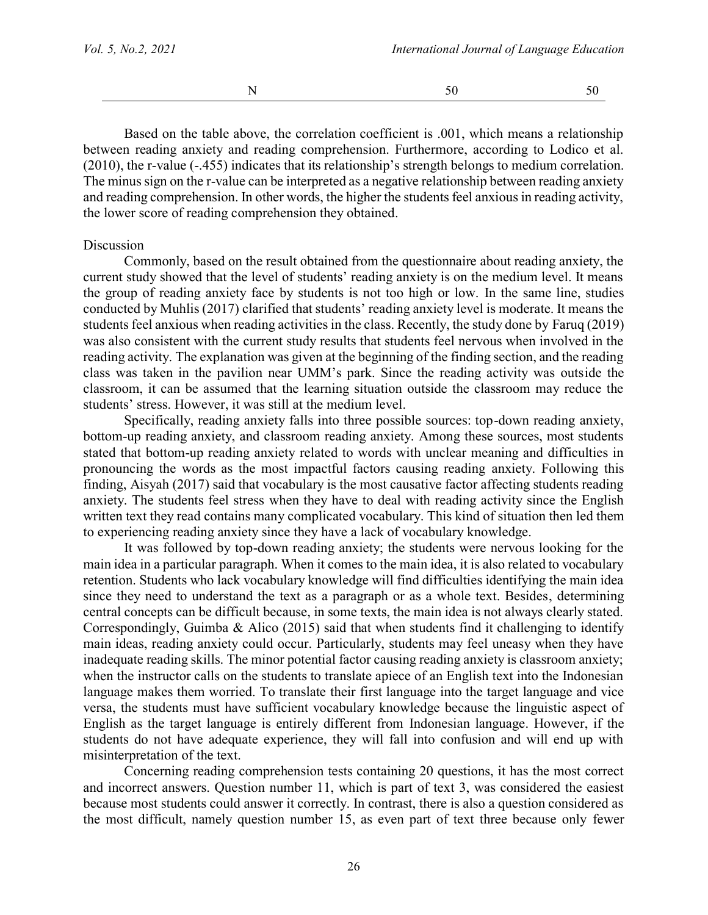Based on the table above, the correlation coefficient is .001, which means a relationship between reading anxiety and reading comprehension. Furthermore, according to Lodico et al. (2010), the r-value (-.455) indicates that its relationship's strength belongs to medium correlation. The minus sign on the r-value can be interpreted as a negative relationship between reading anxiety and reading comprehension. In other words, the higher the students feel anxious in reading activity, the lower score of reading comprehension they obtained.

#### Discussion

Commonly, based on the result obtained from the questionnaire about reading anxiety, the current study showed that the level of students' reading anxiety is on the medium level. It means the group of reading anxiety face by students is not too high or low. In the same line, studies conducted by Muhlis (2017) clarified that students' reading anxiety level is moderate. It means the students feel anxious when reading activities in the class. Recently, the study done by Faruq (2019) was also consistent with the current study results that students feel nervous when involved in the reading activity. The explanation was given at the beginning of the finding section, and the reading class was taken in the pavilion near UMM's park. Since the reading activity was outside the classroom, it can be assumed that the learning situation outside the classroom may reduce the students' stress. However, it was still at the medium level.

Specifically, reading anxiety falls into three possible sources: top-down reading anxiety, bottom-up reading anxiety, and classroom reading anxiety. Among these sources, most students stated that bottom-up reading anxiety related to words with unclear meaning and difficulties in pronouncing the words as the most impactful factors causing reading anxiety. Following this finding, Aisyah (2017) said that vocabulary is the most causative factor affecting students reading anxiety. The students feel stress when they have to deal with reading activity since the English written text they read contains many complicated vocabulary. This kind of situation then led them to experiencing reading anxiety since they have a lack of vocabulary knowledge.

It was followed by top-down reading anxiety; the students were nervous looking for the main idea in a particular paragraph. When it comes to the main idea, it is also related to vocabulary retention. Students who lack vocabulary knowledge will find difficulties identifying the main idea since they need to understand the text as a paragraph or as a whole text. Besides, determining central concepts can be difficult because, in some texts, the main idea is not always clearly stated. Correspondingly, Guimba & Alico (2015) said that when students find it challenging to identify main ideas, reading anxiety could occur. Particularly, students may feel uneasy when they have inadequate reading skills. The minor potential factor causing reading anxiety is classroom anxiety; when the instructor calls on the students to translate apiece of an English text into the Indonesian language makes them worried. To translate their first language into the target language and vice versa, the students must have sufficient vocabulary knowledge because the linguistic aspect of English as the target language is entirely different from Indonesian language. However, if the students do not have adequate experience, they will fall into confusion and will end up with misinterpretation of the text.

Concerning reading comprehension tests containing 20 questions, it has the most correct and incorrect answers. Question number 11, which is part of text 3, was considered the easiest because most students could answer it correctly. In contrast, there is also a question considered as the most difficult, namely question number 15, as even part of text three because only fewer

26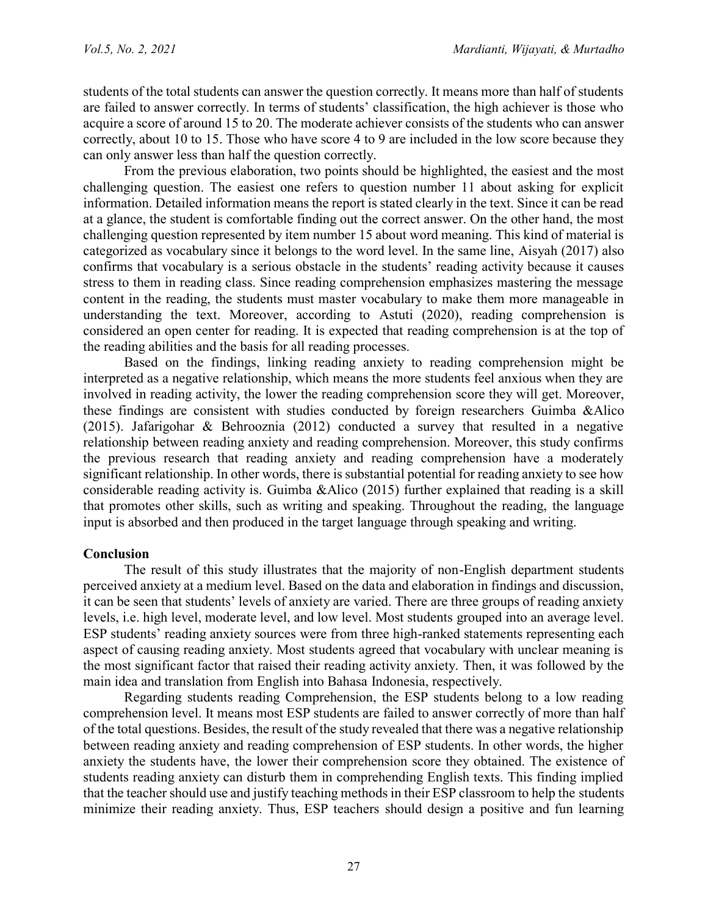students of the total students can answer the question correctly. It means more than half of students are failed to answer correctly. In terms of students' classification, the high achiever is those who acquire a score of around 15 to 20. The moderate achiever consists of the students who can answer correctly, about 10 to 15. Those who have score 4 to 9 are included in the low score because they can only answer less than half the question correctly.

From the previous elaboration, two points should be highlighted, the easiest and the most challenging question. The easiest one refers to question number 11 about asking for explicit information. Detailed information means the report is stated clearly in the text. Since it can be read at a glance, the student is comfortable finding out the correct answer. On the other hand, the most challenging question represented by item number 15 about word meaning. This kind of material is categorized as vocabulary since it belongs to the word level. In the same line, Aisyah (2017) also confirms that vocabulary is a serious obstacle in the students' reading activity because it causes stress to them in reading class. Since reading comprehension emphasizes mastering the message content in the reading, the students must master vocabulary to make them more manageable in understanding the text. Moreover, according to Astuti (2020), reading comprehension is considered an open center for reading. It is expected that reading comprehension is at the top of the reading abilities and the basis for all reading processes.

Based on the findings, linking reading anxiety to reading comprehension might be interpreted as a negative relationship, which means the more students feel anxious when they are involved in reading activity, the lower the reading comprehension score they will get. Moreover, these findings are consistent with studies conducted by foreign researchers Guimba &Alico (2015). Jafarigohar & Behrooznia (2012) conducted a survey that resulted in a negative relationship between reading anxiety and reading comprehension. Moreover, this study confirms the previous research that reading anxiety and reading comprehension have a moderately significant relationship. In other words, there is substantial potential for reading anxiety to see how considerable reading activity is. Guimba &Alico (2015) further explained that reading is a skill that promotes other skills, such as writing and speaking. Throughout the reading, the language input is absorbed and then produced in the target language through speaking and writing.

## **Conclusion**

The result of this study illustrates that the majority of non-English department students perceived anxiety at a medium level. Based on the data and elaboration in findings and discussion, it can be seen that students' levels of anxiety are varied. There are three groups of reading anxiety levels, i.e. high level, moderate level, and low level. Most students grouped into an average level. ESP students' reading anxiety sources were from three high-ranked statements representing each aspect of causing reading anxiety. Most students agreed that vocabulary with unclear meaning is the most significant factor that raised their reading activity anxiety. Then, it was followed by the main idea and translation from English into Bahasa Indonesia, respectively.

Regarding students reading Comprehension, the ESP students belong to a low reading comprehension level. It means most ESP students are failed to answer correctly of more than half of the total questions. Besides, the result of the study revealed that there was a negative relationship between reading anxiety and reading comprehension of ESP students. In other words, the higher anxiety the students have, the lower their comprehension score they obtained. The existence of students reading anxiety can disturb them in comprehending English texts. This finding implied that the teacher should use and justify teaching methods in their ESP classroom to help the students minimize their reading anxiety. Thus, ESP teachers should design a positive and fun learning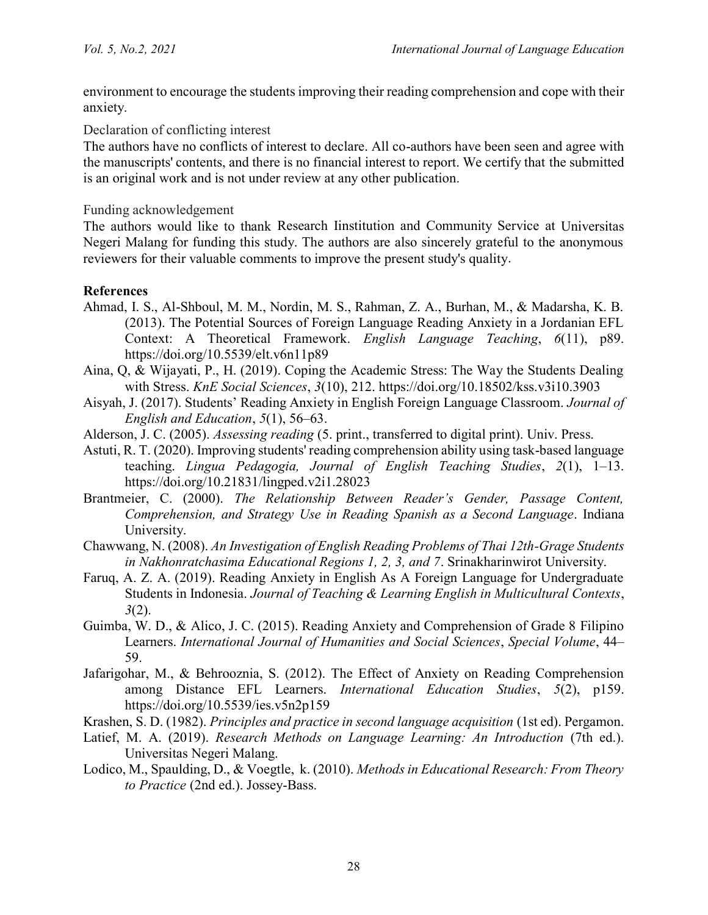environment to encourage the students improving their reading comprehension and cope with their anxiety.

Declaration of conflicting interest

The authors have no conflicts of interest to declare. All co-authors have been seen and agree with the manuscripts' contents, and there is no financial interest to report. We certify that the submitted is an original work and is not under review at any other publication.

## Funding acknowledgement

The authors would like to thank Research Iinstitution and Community Service at Universitas Negeri Malang for funding this study. The authors are also sincerely grateful to the anonymous reviewers for their valuable comments to improve the present study's quality.

# **References**

- Ahmad, I. S., Al-Shboul, M. M., Nordin, M. S., Rahman, Z. A., Burhan, M., & Madarsha, K. B. (2013). The Potential Sources of Foreign Language Reading Anxiety in a Jordanian EFL Context: A Theoretical Framework. *English Language Teaching*, *6*(11), p89. https://doi.org/10.5539/elt.v6n11p89
- Aina, Q, & Wijayati, P., H. (2019). Coping the Academic Stress: The Way the Students Dealing with Stress. *KnE Social Sciences*, *3*(10), 212. https://doi.org/10.18502/kss.v3i10.3903
- Aisyah, J. (2017). Students' Reading Anxiety in English Foreign Language Classroom. *Journal of English and Education*, *5*(1), 56–63.
- Alderson, J. C. (2005). *Assessing reading* (5. print., transferred to digital print). Univ. Press.
- Astuti, R. T. (2020). Improving students' reading comprehension ability using task-based language teaching. *Lingua Pedagogia, Journal of English Teaching Studies*, *2*(1), 1–13. https://doi.org/10.21831/lingped.v2i1.28023
- Brantmeier, C. (2000). *The Relationship Between Reader's Gender, Passage Content, Comprehension, and Strategy Use in Reading Spanish as a Second Language*. Indiana University.
- Chawwang, N. (2008). *An Investigation of English Reading Problems of Thai 12th-Grage Students in Nakhonratchasima Educational Regions 1, 2, 3, and 7*. Srinakharinwirot University.
- Faruq, A. Z. A. (2019). Reading Anxiety in English As A Foreign Language for Undergraduate Students in Indonesia. *Journal of Teaching & Learning English in Multicultural Contexts*, *3*(2).
- Guimba, W. D., & Alico, J. C. (2015). Reading Anxiety and Comprehension of Grade 8 Filipino Learners. *International Journal of Humanities and Social Sciences*, *Special Volume*, 44– 59.
- Jafarigohar, M., & Behrooznia, S. (2012). The Effect of Anxiety on Reading Comprehension among Distance EFL Learners. *International Education Studies*, *5*(2), p159. https://doi.org/10.5539/ies.v5n2p159
- Krashen, S. D. (1982). *Principles and practice in second language acquisition* (1st ed). Pergamon.
- Latief, M. A. (2019). *Research Methods on Language Learning: An Introduction* (7th ed.). Universitas Negeri Malang.
- Lodico, M., Spaulding, D., & Voegtle, k. (2010). *Methods in Educational Research: From Theory to Practice* (2nd ed.). Jossey-Bass.